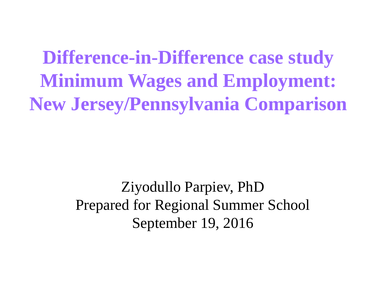**Difference-in-Difference case study Minimum Wages and Employment: New Jersey/Pennsylvania Comparison**

> Ziyodullo Parpiev, PhD Prepared for Regional Summer School September 19, 2016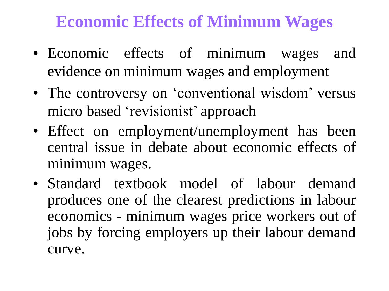#### **Economic Effects of Minimum Wages**

- Economic effects of minimum wages and evidence on minimum wages and employment
- The controversy on 'conventional wisdom' versus micro based 'revisionist' approach
- Effect on employment/unemployment has been central issue in debate about economic effects of minimum wages.
- Standard textbook model of labour demand produces one of the clearest predictions in labour economics - minimum wages price workers out of jobs by forcing employers up their labour demand curve.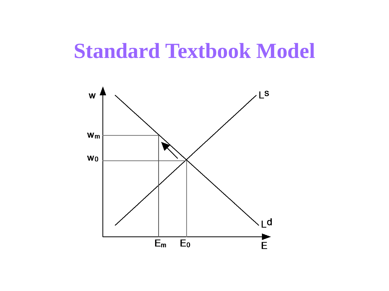### **Standard Textbook Model**

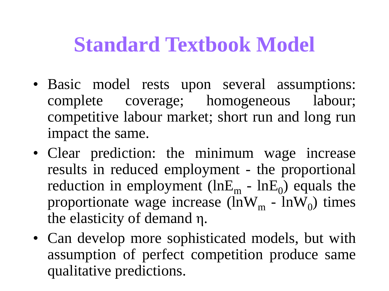## **Standard Textbook Model**

- Basic model rests upon several assumptions: complete coverage; homogeneous labour; competitive labour market; short run and long run impact the same.
- Clear prediction: the minimum wage increase results in reduced employment - the proportional reduction in employment (lnE<sub>m</sub> - lnE<sub>0</sub>) equals the proportionate wage increase (lnW<sub>m</sub> - lnW<sub>0</sub>) times the elasticity of demand η.
- Can develop more sophisticated models, but with assumption of perfect competition produce same qualitative predictions.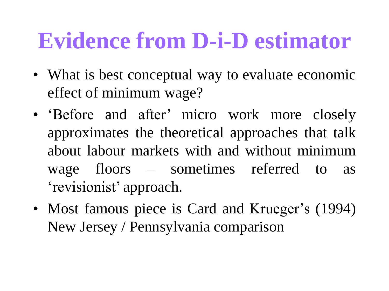# **Evidence from D-i-D estimator**

- What is best conceptual way to evaluate economic effect of minimum wage?
- 'Before and after' micro work more closely approximates the theoretical approaches that talk about labour markets with and without minimum wage floors – sometimes referred to as 'revisionist' approach.
- Most famous piece is Card and Krueger's (1994) New Jersey / Pennsylvania comparison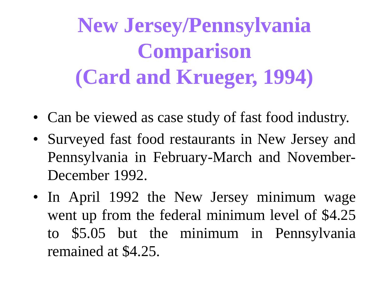**New Jersey/Pennsylvania Comparison (Card and Krueger, 1994)**

- Can be viewed as case study of fast food industry.
- Surveyed fast food restaurants in New Jersey and Pennsylvania in February-March and November-December 1992.
- In April 1992 the New Jersey minimum wage went up from the federal minimum level of \$4.25 to \$5.05 but the minimum in Pennsylvania remained at \$4.25.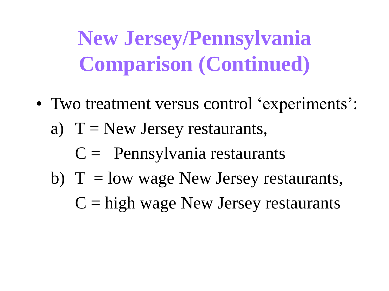**New Jersey/Pennsylvania Comparison (Continued)**

- Two treatment versus control 'experiments':
	- a)  $T = New Jersey restaurus$ ,
		- $C =$  Pennsylvania restaurants
	- b)  $T = low$  wage New Jersey restaurants,
		- $C =$ high wage New Jersey restaurants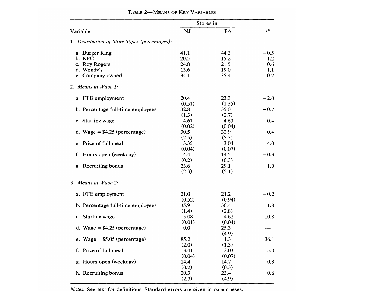|                                               | Stores in: |        |                  |
|-----------------------------------------------|------------|--------|------------------|
| Variable                                      | <b>NJ</b>  | PA     | $t^{\mathbf{a}}$ |
| 1. Distribution of Store Types (percentages): |            |        |                  |
| a. Burger King                                | 41.1       | 44.3   | $-0.5$           |
| b. KFC                                        | 20.5       | 15.2   | 1.2              |
| c. Roy Rogers                                 | 24.8       | 21.5   | 0.6              |
| d. Wendy's                                    | 13.6       | 19.0   | $-1.1$           |
| e. Company-owned                              | 34.1       | 35.4   | $-0.2$           |
| 2. Means in Wave 1:                           |            |        |                  |
| a. FTE employment                             | 20.4       | 23.3   | $-2.0$           |
|                                               | (0.51)     | (1.35) |                  |
| b. Percentage full-time employees             | 32.8       | 35.0   | $-0.7$           |
|                                               | (1.3)      | (2.7)  |                  |
| c. Starting wage                              | 4.61       | 4.63   | $-0.4$           |
|                                               | (0.02)     | (0.04) |                  |
| d. Wage = $$4.25$ (percentage)                | 30.5       | 32.9   | $-0.4$           |
|                                               | (2.5)      | (5.3)  |                  |
| e. Price of full meal                         | 3.35       | 3.04   | 4.0              |
|                                               | (0.04)     | (0.07) |                  |
| f. Hours open (weekday)                       | 14.4       | 14.5   | $-0.3$           |
|                                               | (0.2)      | (0.3)  |                  |
| g. Recruiting bonus                           | 23.6       | 29.1   | $-1.0$           |
|                                               | (2.3)      | (5.1)  |                  |
| 3. Means in Wave 2:                           |            |        |                  |
| a. FTE employment                             | 21.0       | 21.2   | $-0.2$           |
|                                               | (0.52)     | (0.94) |                  |
| b. Percentage full-time employees             | 35.9       | 30.4   | 1.8              |
|                                               | (1.4)      | (2.8)  |                  |
| c. Starting wage                              | 5.08       | 4.62   | 10.8             |
|                                               | (0.01)     | (0.04) |                  |
| d. Wage = $$4.25$ (percentage)                | 0.0        | 25.3   |                  |
|                                               |            | (4.9)  |                  |
| e. Wage = $$5.05$ (percentage)                | 85.2       | 1.3    | 36.1             |
|                                               | (2.0)      | (1.3)  |                  |
| f. Price of full meal                         | 3.41       | 3.03   | 5.0              |
|                                               | (0.04)     | (0.07) |                  |
| g. Hours open (weekday)                       | 14.4       | 14.7   | $-0.8$           |
|                                               | (0.2)      | (0.3)  |                  |
| h. Recruiting bonus                           | 20.3       | 23.4   | $-0.6$           |
|                                               | (2.3)      | (4.9)  |                  |

TABLE 2-MEANS OF KEY VARIABLES

*Notes:* See text for definitions. Standard errors are given in parentheses.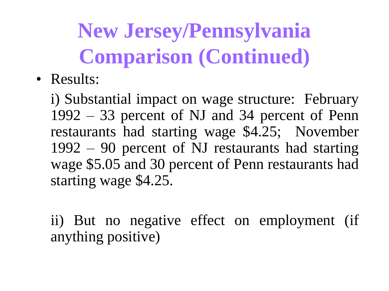**New Jersey/Pennsylvania Comparison (Continued)**

• Results:

i) Substantial impact on wage structure: February 1992 – 33 percent of NJ and 34 percent of Penn restaurants had starting wage \$4.25; November 1992 – 90 percent of NJ restaurants had starting wage \$5.05 and 30 percent of Penn restaurants had starting wage \$4.25.

ii) But no negative effect on employment (if anything positive)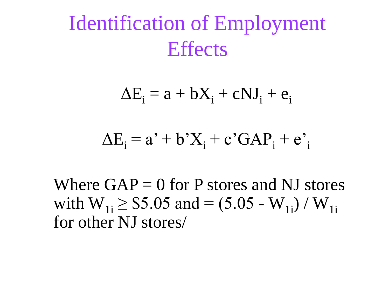Identification of Employment **Effects** 

 $\Delta E_i = a + bX_i + cNJ_i + e_i$ 

#### $\Delta E_i = a' + b'X_i + c'GAP_i + e'$

Where  $GAP = 0$  for P stores and NJ stores with  $W_{1i} \geq $5.05$  and  $=(5.05 - W_{1i}) / W_{1i}$ for other NJ stores/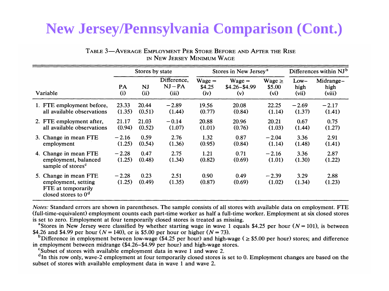#### **New Jersey/Pennsylvania Comparison (Cont.)**

|          |                                                                                             | Stores by state   |                   | Stores in New Jersey <sup>a</sup> |                            |                                    | Differences within NJ <sup>b</sup> |                         |                             |
|----------|---------------------------------------------------------------------------------------------|-------------------|-------------------|-----------------------------------|----------------------------|------------------------------------|------------------------------------|-------------------------|-----------------------------|
| Variable |                                                                                             | PA<br>(i)         | <b>NJ</b><br>(ii) | Difference,<br>$NJ - PA$<br>(iii) | $Wage =$<br>\$4.25<br>(iv) | $Wage =$<br>$$4.26 - $4.99$<br>(v) | Wage $\geq$<br>\$5.00<br>(vi)      | $Low-$<br>high<br>(vii) | Midrange-<br>high<br>(viii) |
|          | 1. FTE employment before,<br>all available observations                                     | 23.33<br>(1.35)   | 20.44<br>(0.51)   | $-2.89$<br>(1.44)                 | 19.56<br>(0.77)            | 20.08<br>(0.84)                    | 22.25<br>(1.14)                    | $-2.69$<br>(1.37)       | $-2.17$<br>(1.41)           |
|          | 2. FTE employment after,<br>all available observations                                      | 21.17<br>(0.94)   | 21.03<br>(0.52)   | $-0.14$<br>(1.07)                 | 20.88<br>(1.01)            | 20.96<br>(0.76)                    | 20.21<br>(1.03)                    | 0.67<br>(1.44)          | 0.75<br>(1.27)              |
|          | 3. Change in mean FTE<br>employment                                                         | $-2.16$<br>(1.25) | 0.59<br>(0.54)    | 2.76<br>(1.36)                    | 1.32<br>(0.95)             | 0.87<br>(0.84)                     | $-2.04$<br>(1.14)                  | 3.36<br>(1.48)          | 2.91<br>(1.41)              |
|          | 4. Change in mean FTE<br>employment, balanced<br>sample of stores <sup>c</sup>              | $-2.28$<br>(1.25) | 0.47<br>(0.48)    | 2.75<br>(1.34)                    | 1.21<br>(0.82)             | 0.71<br>(0.69)                     | $-2.16$<br>(1.01)                  | 3.36<br>(1.30)          | 2.87<br>(1.22)              |
|          | 5. Change in mean FTE<br>employment, setting<br>FTE at temporarily<br>closed stores to $0d$ | $-2.28$<br>(1.25) | 0.23<br>(0.49)    | 2.51<br>(1.35)                    | 0.90<br>(0.87)             | 0.49<br>(0.69)                     | $-2.39$<br>(1.02)                  | 3.29<br>(1.34)          | 2.88<br>(1.23)              |

TABLE 3-AVERAGE EMPLOYMENT PER STORE BEFORE AND AFTER THE RISE IN NEW JERSEY MINIMUM WAGE

Notes: Standard errors are shown in parentheses. The sample consists of all stores with available data on employment. FTE (full-time-equivalent) employment counts each part-time worker as half a full-time worker. Employment at six closed stores is set to zero. Employment at four temporarily closed stores is treated as missing.

<sup>a</sup>Stores in New Jersey were classified by whether starting wage in wave 1 equals \$4.25 per hour ( $N = 101$ ), is between \$4.26 and \$4.99 per hour ( $N = 140$ ), or is \$5.00 per hour or higher ( $N = 73$ ).

<sup>b</sup>Difference in employment between low-wage (\$4.25 per hour) and high-wage ( $\ge$  \$5.00 per hour) stores; and difference in employment between midrange (\$4.26–\$4.99 per hour) and high-wage stores.

<sup>c</sup>Subset of stores with available employment data in wave 1 and wave 2.

<sup>d</sup>In this row only, wave-2 employment at four temporarily closed stores is set to 0. Employment changes are based on the subset of stores with available employment data in wave 1 and wave 2.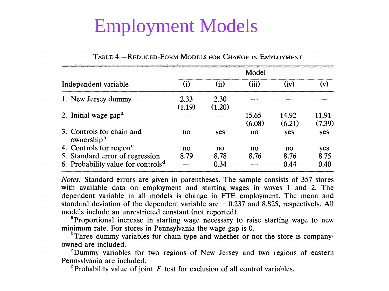### **Employment Models**

|                                                     | Model           |                |                 |                 |                 |  |  |
|-----------------------------------------------------|-----------------|----------------|-----------------|-----------------|-----------------|--|--|
| Independent variable                                | (i)             | (ii)           | (iii)           | (iv)            | (v)             |  |  |
| 1. New Jersey dummy                                 | 2.33<br>(1.19)  | 2.30<br>(1.20) |                 |                 |                 |  |  |
| 2. Initial wage gap <sup>a</sup>                    |                 |                | 15.65<br>(6.08) | 14.92<br>(6.21) | 11.91<br>(7.39) |  |  |
| 3. Controls for chain and<br>ownership <sup>b</sup> | no              | yes            | no              | yes             | yes             |  |  |
| 4. Controls for region <sup>c</sup>                 | $\overline{no}$ | $\mathbf{n}$   | $\mathbf{n}$    | $\mathbf{n}$    | yes             |  |  |
| 5. Standard error of regression                     | 8.79            | 8.78           | 8.76            | 8.76            | 8.75            |  |  |
| 6. Probability value for controls <sup>d</sup>      |                 | 0.34           |                 | 0.44            | 0.40            |  |  |

TABLE 4-REDUCED-FORM MODELS FOR CHANGE IN EMPLOYMENT

*Notes:* Standard errors are given in parentheses. The sample consists of 357 stores with available data on employment and starting wages in waves 1 and 2. The dependent variable in all models is change in FTE employment. The mean and standard deviation of the dependent variable are  $-0.237$  and 8.825, respectively. All models include an unrestricted constant (not reported).

<sup>a</sup> Proportional increase in starting wage necessary to raise starting wage to new minimum rate. For stores in Pennsylvania the wage gap is 0.

<sup>b</sup>Three dummy variables for chain type and whether or not the store is companyowned are included.

<sup>c</sup>Dummy variables for two regions of New Jersey and two regions of eastern Pennsylvania are included.

 $\alpha$ <sup>d</sup>Probability value of joint F test for exclusion of all control variables.